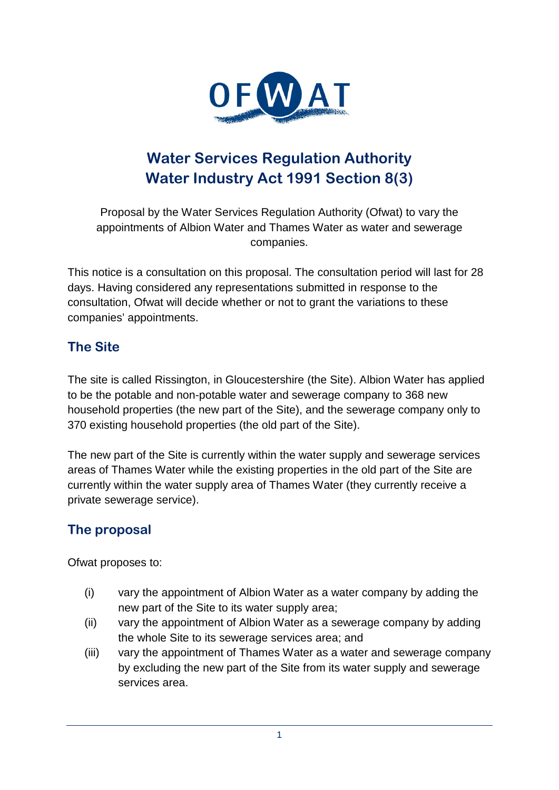

# **Water Services Regulation Authority Water Industry Act 1991 Section 8(3)**

Proposal by the Water Services Regulation Authority (Ofwat) to vary the appointments of Albion Water and Thames Water as water and sewerage companies.

This notice is a consultation on this proposal. The consultation period will last for 28 days. Having considered any representations submitted in response to the consultation, Ofwat will decide whether or not to grant the variations to these companies' appointments.

# **The Site**

The site is called Rissington, in Gloucestershire (the Site). Albion Water has applied to be the potable and non-potable water and sewerage company to 368 new household properties (the new part of the Site), and the sewerage company only to 370 existing household properties (the old part of the Site).

The new part of the Site is currently within the water supply and sewerage services areas of Thames Water while the existing properties in the old part of the Site are currently within the water supply area of Thames Water (they currently receive a private sewerage service).

# **The proposal**

Ofwat proposes to:

- (i) vary the appointment of Albion Water as a water company by adding the new part of the Site to its water supply area;
- (ii) vary the appointment of Albion Water as a sewerage company by adding the whole Site to its sewerage services area; and
- <span id="page-0-0"></span>(iii) vary the appointment of Thames Water as a water and sewerage company by excluding the new part of the Site from its water supply and sewerage services area.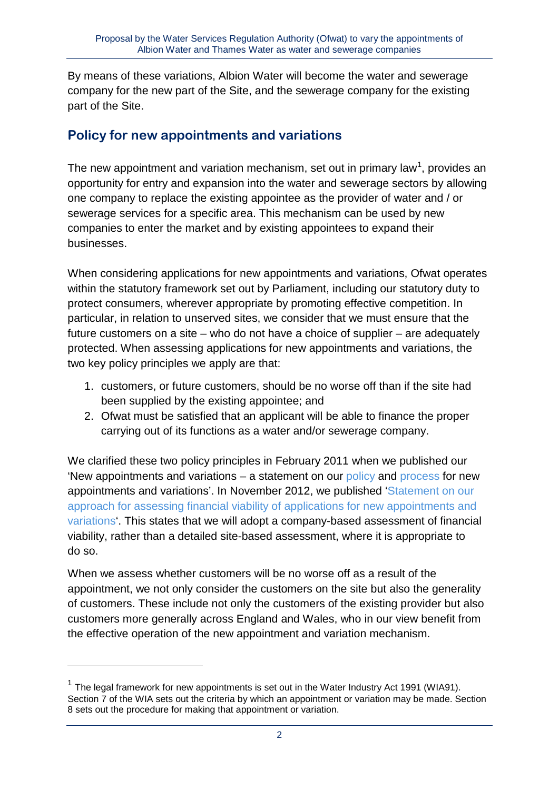By means of these variations, Albion Water will become the water and sewerage company for the new part of the Site, and the sewerage company for the existing part of the Site.

# **Policy for new appointments and variations**

The new appointment and variation mechanism, set out in primary law<sup>[1](#page-0-0)</sup>, provides an opportunity for entry and expansion into the water and sewerage sectors by allowing one company to replace the existing appointee as the provider of water and / or sewerage services for a specific area. This mechanism can be used by new companies to enter the market and by existing appointees to expand their businesses.

When considering applications for new appointments and variations, Ofwat operates within the statutory framework set out by Parliament, including our statutory duty to protect consumers, wherever appropriate by promoting effective competition. In particular, in relation to unserved sites, we consider that we must ensure that the future customers on a site – who do not have a choice of supplier – are adequately protected. When assessing applications for new appointments and variations, the two key policy principles we apply are that:

- 1. customers, or future customers, should be no worse off than if the site had been supplied by the existing appointee; and
- 2. Ofwat must be satisfied that an applicant will be able to finance the proper carrying out of its functions as a water and/or sewerage company.

We clarified these two policy principles in February 2011 when we published our 'New appointments and variations – a statement on our [policy](http://www.ofwat.gov.uk/competition/inset/pap_pos110228navpolicy.pdf) and [process](http://www.ofwat.gov.uk/competition/inset/pap_pos110228navprocess.pdf) for new appointments and variations'. In November 2012, we published ['Statement on our](http://www.ofwat.gov.uk/competition/inset/pap_pos20121112navfinance.pdf)  [approach for assessing financial viability of applications for new appointments and](http://www.ofwat.gov.uk/competition/inset/pap_pos20121112navfinance.pdf)  [variations'](http://www.ofwat.gov.uk/competition/inset/pap_pos20121112navfinance.pdf). This states that we will adopt a company-based assessment of financial viability, rather than a detailed site-based assessment, where it is appropriate to do so.

When we assess whether customers will be no worse off as a result of the appointment, we not only consider the customers on the site but also the generality of customers. These include not only the customers of the existing provider but also customers more generally across England and Wales, who in our view benefit from the effective operation of the new appointment and variation mechanism.

<span id="page-1-0"></span>-

 $1$  The legal framework for new appointments is set out in the Water Industry Act 1991 (WIA91). Section 7 of the WIA sets out the criteria by which an appointment or variation may be made. Section 8 sets out the procedure for making that appointment or variation.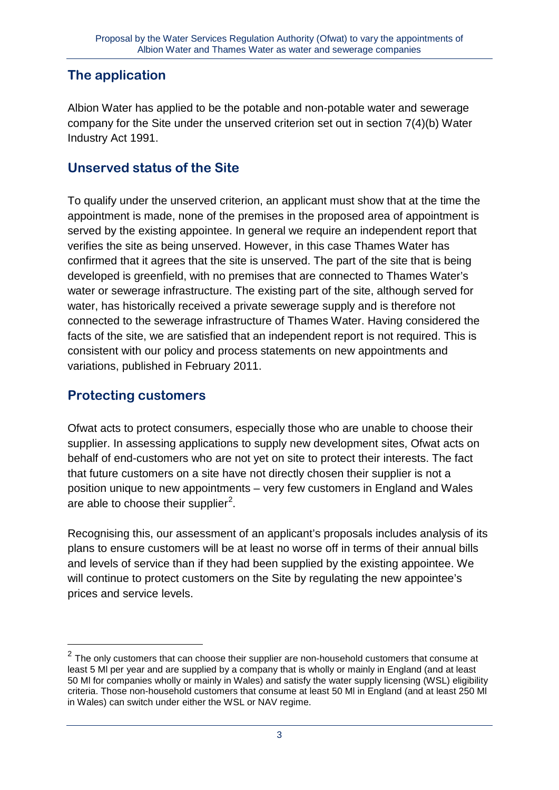# **The application**

Albion Water has applied to be the potable and non-potable water and sewerage company for the Site under the unserved criterion set out in section 7(4)(b) Water Industry Act 1991.

#### **Unserved status of the Site**

To qualify under the unserved criterion, an applicant must show that at the time the appointment is made, none of the premises in the proposed area of appointment is served by the existing appointee. In general we require an independent report that verifies the site as being unserved. However, in this case Thames Water has confirmed that it agrees that the site is unserved. The part of the site that is being developed is greenfield, with no premises that are connected to Thames Water's water or sewerage infrastructure. The existing part of the site, although served for water, has historically received a private sewerage supply and is therefore not connected to the sewerage infrastructure of Thames Water. Having considered the facts of the site, we are satisfied that an independent report is not required. This is consistent with our policy and process statements on new appointments and variations, published in February 2011.

# **Protecting customers**

<u>.</u>

Ofwat acts to protect consumers, especially those who are unable to choose their supplier. In assessing applications to supply new development sites, Ofwat acts on behalf of end-customers who are not yet on site to protect their interests. The fact that future customers on a site have not directly chosen their supplier is not a position unique to new appointments – very few customers in England and Wales are able to choose their supplier<sup>[2](#page-1-0)</sup>.

Recognising this, our assessment of an applicant's proposals includes analysis of its plans to ensure customers will be at least no worse off in terms of their annual bills and levels of service than if they had been supplied by the existing appointee. We will continue to protect customers on the Site by regulating the new appointee's prices and service levels.

<span id="page-2-0"></span> $2$  The only customers that can choose their supplier are non-household customers that consume at least 5 Ml per year and are supplied by a company that is wholly or mainly in England (and at least 50 Ml for companies wholly or mainly in Wales) and satisfy the water supply licensing (WSL) eligibility criteria. Those non-household customers that consume at least 50 Ml in England (and at least 250 Ml in Wales) can switch under either the WSL or NAV regime.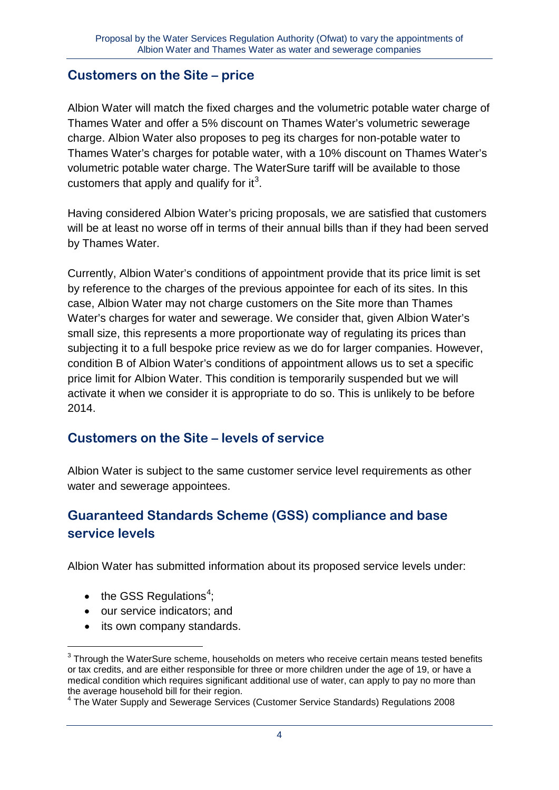#### **Customers on the Site – price**

Albion Water will match the fixed charges and the volumetric potable water charge of Thames Water and offer a 5% discount on Thames Water's volumetric sewerage charge. Albion Water also proposes to peg its charges for non-potable water to Thames Water's charges for potable water, with a 10% discount on Thames Water's volumetric potable water charge. The WaterSure tariff will be available to those customers that apply and qualify for it<sup>[3](#page-2-0)</sup>.

Having considered Albion Water's pricing proposals, we are satisfied that customers will be at least no worse off in terms of their annual bills than if they had been served by Thames Water.

Currently, Albion Water's conditions of appointment provide that its price limit is set by reference to the charges of the previous appointee for each of its sites. In this case, Albion Water may not charge customers on the Site more than Thames Water's charges for water and sewerage. We consider that, given Albion Water's small size, this represents a more proportionate way of regulating its prices than subjecting it to a full bespoke price review as we do for larger companies. However, condition B of Albion Water's conditions of appointment allows us to set a specific price limit for Albion Water. This condition is temporarily suspended but we will activate it when we consider it is appropriate to do so. This is unlikely to be before 2014.

# **Customers on the Site – levels of service**

Albion Water is subject to the same customer service level requirements as other water and sewerage appointees.

# **Guaranteed Standards Scheme (GSS) compliance and base service levels**

Albion Water has submitted information about its proposed service levels under:

 $\bullet$  the GSS Regulations<sup>[4](#page-3-0)</sup>;

-

- our service indicators; and
- its own company standards.

 $3$  Through the WaterSure scheme, households on meters who receive certain means tested benefits or tax credits, and are either responsible for three or more children under the age of 19, or have a medical condition which requires significant additional use of water, can apply to pay no more than the average household bill for their region.

<span id="page-3-0"></span><sup>&</sup>lt;sup>4</sup> The Water Supply and Sewerage Services (Customer Service Standards) Regulations 2008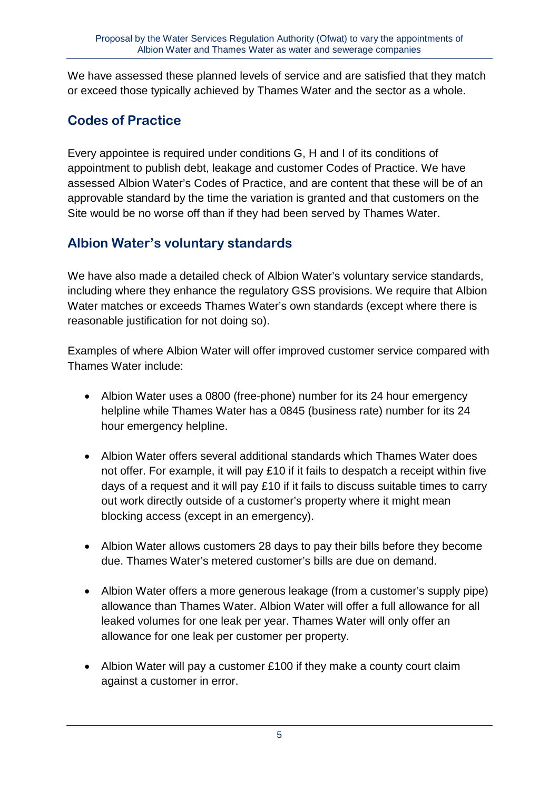We have assessed these planned levels of service and are satisfied that they match or exceed those typically achieved by Thames Water and the sector as a whole.

# **Codes of Practice**

Every appointee is required under conditions G, H and I of its conditions of appointment to publish debt, leakage and customer Codes of Practice. We have assessed Albion Water's Codes of Practice, and are content that these will be of an approvable standard by the time the variation is granted and that customers on the Site would be no worse off than if they had been served by Thames Water.

# **Albion Water's voluntary standards**

We have also made a detailed check of Albion Water's voluntary service standards, including where they enhance the regulatory GSS provisions. We require that Albion Water matches or exceeds Thames Water's own standards (except where there is reasonable justification for not doing so).

Examples of where Albion Water will offer improved customer service compared with Thames Water include:

- Albion Water uses a 0800 (free-phone) number for its 24 hour emergency helpline while Thames Water has a 0845 (business rate) number for its 24 hour emergency helpline.
- Albion Water offers several additional standards which Thames Water does not offer. For example, it will pay £10 if it fails to despatch a receipt within five days of a request and it will pay £10 if it fails to discuss suitable times to carry out work directly outside of a customer's property where it might mean blocking access (except in an emergency).
- Albion Water allows customers 28 days to pay their bills before they become due. Thames Water's metered customer's bills are due on demand.
- Albion Water offers a more generous leakage (from a customer's supply pipe) allowance than Thames Water. Albion Water will offer a full allowance for all leaked volumes for one leak per year. Thames Water will only offer an allowance for one leak per customer per property.
- Albion Water will pay a customer £100 if they make a county court claim against a customer in error.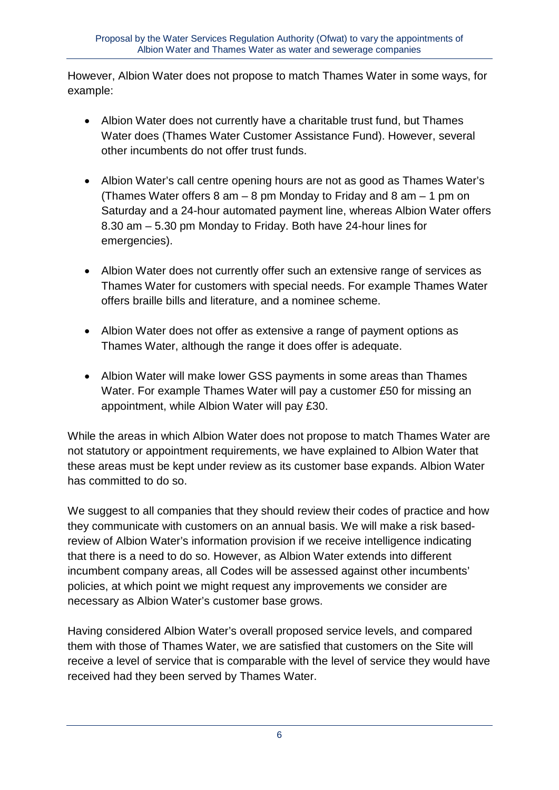However, Albion Water does not propose to match Thames Water in some ways, for example:

- Albion Water does not currently have a charitable trust fund, but Thames Water does (Thames Water Customer Assistance Fund). However, several other incumbents do not offer trust funds.
- Albion Water's call centre opening hours are not as good as Thames Water's (Thames Water offers 8 am – 8 pm Monday to Friday and 8 am – 1 pm on Saturday and a 24-hour automated payment line, whereas Albion Water offers 8.30 am – 5.30 pm Monday to Friday. Both have 24-hour lines for emergencies).
- Albion Water does not currently offer such an extensive range of services as Thames Water for customers with special needs. For example Thames Water offers braille bills and literature, and a nominee scheme.
- Albion Water does not offer as extensive a range of payment options as Thames Water, although the range it does offer is adequate.
- Albion Water will make lower GSS payments in some areas than Thames Water. For example Thames Water will pay a customer £50 for missing an appointment, while Albion Water will pay £30.

While the areas in which Albion Water does not propose to match Thames Water are not statutory or appointment requirements, we have explained to Albion Water that these areas must be kept under review as its customer base expands. Albion Water has committed to do so.

We suggest to all companies that they should review their codes of practice and how they communicate with customers on an annual basis. We will make a risk basedreview of Albion Water's information provision if we receive intelligence indicating that there is a need to do so. However, as Albion Water extends into different incumbent company areas, all Codes will be assessed against other incumbents' policies, at which point we might request any improvements we consider are necessary as Albion Water's customer base grows.

Having considered Albion Water's overall proposed service levels, and compared them with those of Thames Water, we are satisfied that customers on the Site will receive a level of service that is comparable with the level of service they would have received had they been served by Thames Water.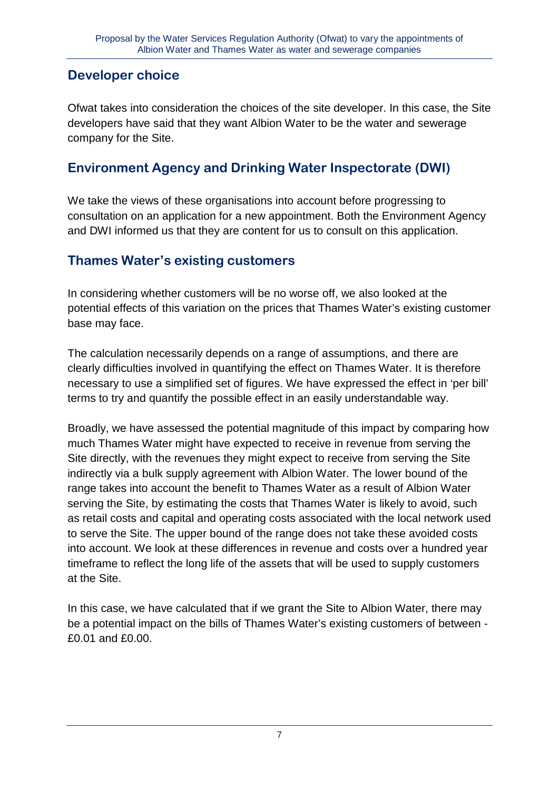# **Developer choice**

Ofwat takes into consideration the choices of the site developer. In this case, the Site developers have said that they want Albion Water to be the water and sewerage company for the Site.

# **Environment Agency and Drinking Water Inspectorate (DWI)**

We take the views of these organisations into account before progressing to consultation on an application for a new appointment. Both the Environment Agency and DWI informed us that they are content for us to consult on this application.

# **Thames Water's existing customers**

In considering whether customers will be no worse off, we also looked at the potential effects of this variation on the prices that Thames Water's existing customer base may face.

The calculation necessarily depends on a range of assumptions, and there are clearly difficulties involved in quantifying the effect on Thames Water. It is therefore necessary to use a simplified set of figures. We have expressed the effect in 'per bill' terms to try and quantify the possible effect in an easily understandable way.

Broadly, we have assessed the potential magnitude of this impact by comparing how much Thames Water might have expected to receive in revenue from serving the Site directly, with the revenues they might expect to receive from serving the Site indirectly via a bulk supply agreement with Albion Water. The lower bound of the range takes into account the benefit to Thames Water as a result of Albion Water serving the Site, by estimating the costs that Thames Water is likely to avoid, such as retail costs and capital and operating costs associated with the local network used to serve the Site. The upper bound of the range does not take these avoided costs into account. We look at these differences in revenue and costs over a hundred year timeframe to reflect the long life of the assets that will be used to supply customers at the Site.

In this case, we have calculated that if we grant the Site to Albion Water, there may be a potential impact on the bills of Thames Water's existing customers of between - £0.01 and £0.00.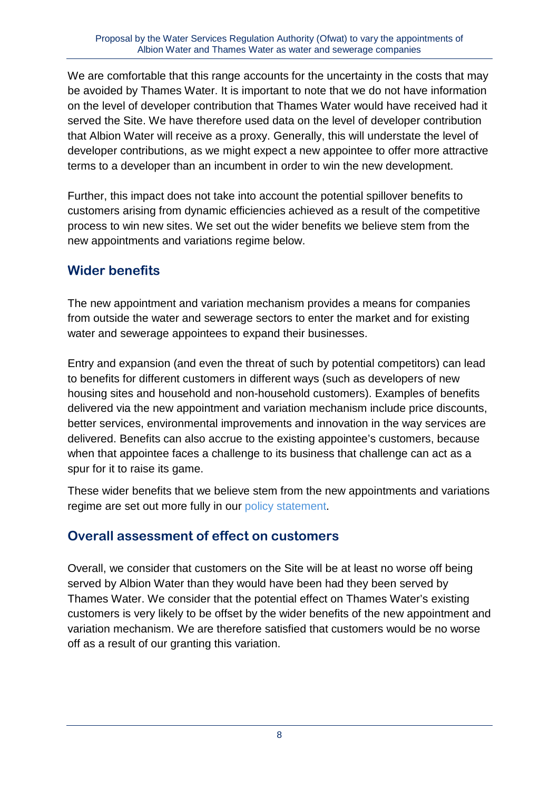We are comfortable that this range accounts for the uncertainty in the costs that may be avoided by Thames Water. It is important to note that we do not have information on the level of developer contribution that Thames Water would have received had it served the Site. We have therefore used data on the level of developer contribution that Albion Water will receive as a proxy. Generally, this will understate the level of developer contributions, as we might expect a new appointee to offer more attractive terms to a developer than an incumbent in order to win the new development.

Further, this impact does not take into account the potential spillover benefits to customers arising from dynamic efficiencies achieved as a result of the competitive process to win new sites. We set out the wider benefits we believe stem from the new appointments and variations regime below.

# **Wider benefits**

The new appointment and variation mechanism provides a means for companies from outside the water and sewerage sectors to enter the market and for existing water and sewerage appointees to expand their businesses.

Entry and expansion (and even the threat of such by potential competitors) can lead to benefits for different customers in different ways (such as developers of new housing sites and household and non-household customers). Examples of benefits delivered via the new appointment and variation mechanism include price discounts, better services, environmental improvements and innovation in the way services are delivered. Benefits can also accrue to the existing appointee's customers, because when that appointee faces a challenge to its business that challenge can act as a spur for it to raise its game.

These wider benefits that we believe stem from the new appointments and variations regime are set out more fully in our [policy statement.](http://www.ofwat.gov.uk/competition/pap_con_100305navpolicy.pdf)

# **Overall assessment of effect on customers**

Overall, we consider that customers on the Site will be at least no worse off being served by Albion Water than they would have been had they been served by Thames Water. We consider that the potential effect on Thames Water's existing customers is very likely to be offset by the wider benefits of the new appointment and variation mechanism. We are therefore satisfied that customers would be no worse off as a result of our granting this variation.